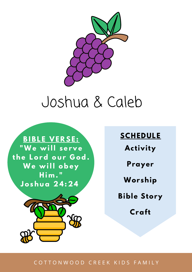

# Joshua & Caleb



**SCHEDULE Activity Prayer Worship Bible Story Craft**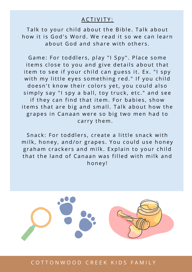#### A C T I V I T Y :

Talk to your child about the Bible. Talk about how it is God's Word. We read it so we can learn about God and share with others.

Game: For toddlers, play "I Spy". Place some items close to you and give details about that item to see if your child can guess it. Ex. "I spy with my little eyes something red." If you child doesn't know their colors yet, you could also simply say "I spy a ball, toy truck, etc." and see if they can find that item. For babies, show items that are big and small. Talk about how the grapes in Canaan were so big two men had to carry them.

Snack: For toddlers, create a little snack with milk, honey, and/or grapes. You could use honey graham crackers and milk. Explain to your child that the land of Canaan was filled with milk and honey!



C O T T O N W O O D C R E E K K I D S F A M I L Y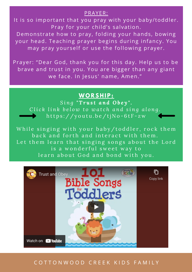#### PRAYER:

It is so important that you pray with your baby/toddler. Pray for your child's salvation.

Demonstrate how to pray, folding your hands, bowing your head. Teaching prayer begins during infancy. You may pray yourself or use the following prayer.

Prayer: "Dear God, thank you for this day. Help us to be brave and trust in you. You are bigger than any giant we face. In Jesus' name, Amen."

### **WO R S H I P :**

*S i n g " T r u s t a n d O b e y " .* Click link below to watch and sing along. https://youtu.be/tjNo-6tF-zw

While singing with your baby/toddler, rock them back and forth and interact with them. Let them learn that singing songs about the Lord is a wonderful sweet way to learn about God and bond with you.

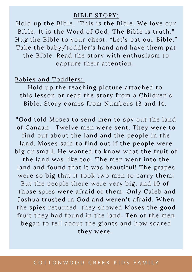#### BIBLE STORY:

Hold up the Bible, "This is the Bible. We love our Bible. It is the Word of God. The Bible is truth." Hug the Bible to your chest. "Let's pat our Bible." Take the baby/toddler's hand and have them pat the Bible. Read the story with enthusiasm to capture their attention.

#### Babies and Toddlers:

Hold up the teaching picture attached to this lesson or read the story from a Children's Bible. Story comes from Numbers 13 and 14.

"God told Moses to send men to spy out the land of Canaan. Twelve men were sent. They were to find out about the land and the people in the land. Moses said to find out if the people were big or small. He wanted to know what the fruit of the land was like too. The men went into the land and found that it was beautiful! The grapes were so big that it took two men to carry them! But the people there were very big, and 10 of those spies were afraid of them. Only Caleb and Joshua trusted in God and weren't afraid. When the spies returned, they showed Moses the good fruit they had found in the land. Ten of the men began to tell about the giants and how scared they were.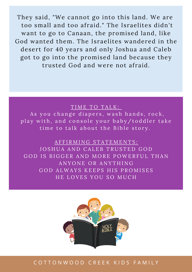They said, "We cannot go into this land. We are too small and too afraid." The Israelites didn't want to go to Canaan, the promised land, like God wanted them. The Israelites wandered in the desert for 40 years and only Joshua and Caleb got to go into the promised land because they trusted God and were not afraid.

#### TIME TO TALK:

As you change diapers, wash hands, rock, play with, and console your baby/toddler take time to talk about the Bible story.

A F F I R M I N G S T A T E M E N T S : JOSHUA AND CALEB TRUSTED GOD GOD IS BIGGER AND MORE POWERFUL THAN ANYONE OR ANYTHING GOD ALWAYS KEEPS HIS PROMISES HE LOVES YOU SO MUCH

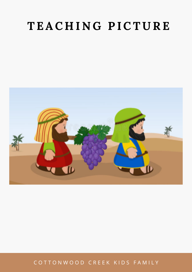# **T E AC H I N G P ICT U RE**